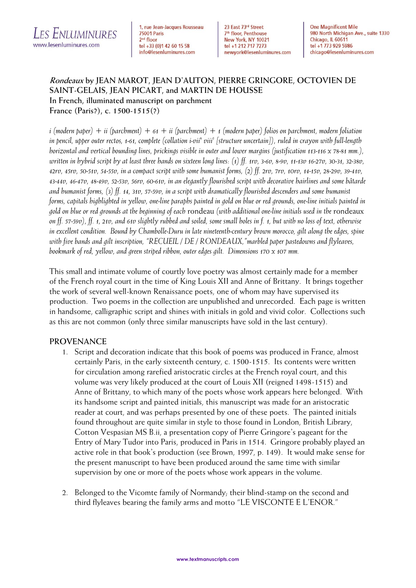

1, rue Jean-Jacques Rousseau **75001 Paris** 2<sup>nd</sup> floor tel +33 (0)1 42 60 15 58 info@lesenluminures.com

23 East 73rd Street 7<sup>th</sup> floor, Penthouse New York, NY 10021 tel +1 212 717 7273 newyork@lesenluminures.com **One Magnificent Mile** 980 North Michigan Ave., suite 1330 Chicago, IL 60611 tel +1 773 929 5986 chicago@lesenluminures.com

# **Rondeaux by JEAN MAROT, JEAN D'AUTON, PIERRE GRINGORE, OCTOVIEN DE SAINT-GELAIS, JEAN PICART, and MARTIN DE HOUSSE In French, illuminated manuscript on parchment France (Paris?), c. 1500-1515(?)**

*i (modern paper) + ii (parchment) + 61 + ii (parchment) + 1 (modern paper) folios on parchment, modern foliation in pencil, upper outer rectos, 1-61, complete (collation i-vii<sup>8</sup> viii<sup>5</sup> [structure uncertain]), ruled in crayon with full-length horizontal and vertical bounding lines, prickings visible in outer and lower margins (justification 113-116 x 78-81 mm.), written in hybrid script by at least three hands on sixteen long lines: (1) ff. 1rv, 3-6v, 8-9v, 11-13v 16-27v, 30-31, 32-38v, 42rv, 45rv, 50-51v, 54-55v, in a compact script with some humanist forms, (2) ff. 2rv, 7rv, 10rv, 14-15v, 28-29v, 39-41v, 43-44v, 46-47v, 48-49v, 52-53v, 56rv, 60-61v, in an elegantly flourished script with decorative hairlines and some bâtarde and humanist forms, (3) ff. 14, 31v, 57-59v, in a script with dramatically flourished descenders and some humanist forms, capitals highlighted in yellow, one-line paraphs painted in gold on blue or red grounds, one-line initials painted in gold on blue or red grounds at the beginning of each* rondeau *(with additional one-line initials used in the* rondeaux *on ff. 57-59v), ff. 1, 21v, and 61v slightly rubbed and soiled, some small holes in f. 1, but with no loss of text, otherwise in excellent condition. Bound by Chambolle-Duru in late nineteenth-century brown morocco, gilt along the edges, spine with five bands and gilt inscription, "RECUEIL / DE / RONDEAUX,"marbled paper pastedowns and flyleaves, bookmark of red, yellow, and green striped ribbon, outer edges gilt. Dimensions 170 x 107 mm.*

This small and intimate volume of courtly love poetry was almost certainly made for a member of the French royal court in the time of King Louis XII and Anne of Brittany. It brings together the work of several well-known Renaissance poets, one of whom may have supervised its production. Two poems in the collection are unpublished and unrecorded. Each page is written in handsome, calligraphic script and shines with initials in gold and vivid color. Collections such as this are not common (only three similar manuscripts have sold in the last century).

## **PROVENANCE**

- 1. Script and decoration indicate that this book of poems was produced in France, almost certainly Paris, in the early sixteenth century, c. 1500-1515. Its contents were written for circulation among rarefied aristocratic circles at the French royal court, and this volume was very likely produced at the court of Louis XII (reigned 1498-1515) and Anne of Brittany, to which many of the poets whose work appears here belonged. With its handsome script and painted initials, this manuscript was made for an aristocratic reader at court, and was perhaps presented by one of these poets. The painted initials found throughout are quite similar in style to those found in London, British Library, Cotton Vespasian MS B.ii, a presentation copy of Pierre Gringore's pageant for the Entry of Mary Tudor into Paris, produced in Paris in 1514. Gringore probably played an active role in that book's production (see Brown, 1997, p. 149). It would make sense for the present manuscript to have been produced around the same time with similar supervision by one or more of the poets whose work appears in the volume.
- 2. Belonged to the Vicomte family of Normandy; their blind-stamp on the second and third flyleaves bearing the family arms and motto "LE VISCONTE E L'ENOR."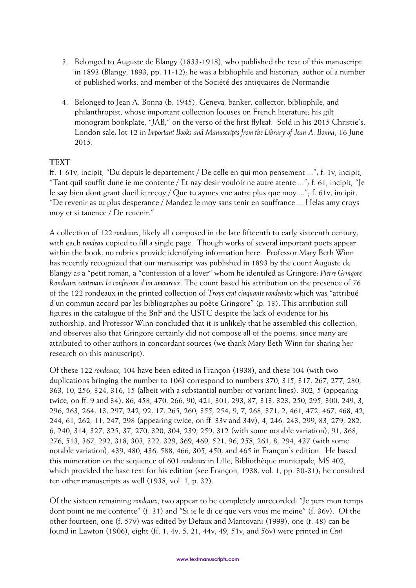- 3. Belonged to Auguste de Blangy (1833-1918), who published the text of this manuscript in 1893 (Blangy, 1893, pp. 11-12); he was a bibliophile and historian, author of a number of published works, and member of the Société des antiquaires de Normandie
- 4. Belonged to Jean A. Bonna (b. 1945), Geneva, banker, collector, bibliophile, and philanthropist, whose important collection focuses on French literature; his gilt monogram bookplate, "JAB," on the verso of the first flyleaf. Sold in his 2015 Christie's, London sale; lot 12 in *Important Books and Manuscripts from the Library of Jean A. Bonna*, 16 June 2015.

### **TEXT**

ff. 1-61v, incipit, "Du depuis le departement / De celle en qui mon pensement ..."; f. 1v, incipit, "Tant quil souffit dune ie me contente / Et nay desir vouloir ne autre atente ..."; f. 61, incipit, "Je le say bien dont grant dueil ie recoy / Que tu aymes vne autre plus que moy ..."; f. 61v, incipit, "De revenir as tu plus desperance / Mandez le moy sans tenir en souffrance ... Helas amy croys moy et si tauence / De reuenir."

A collection of 122 *rondeaux*, likely all composed in the late fifteenth to early sixteenth century, with each *rondeau* copied to fill a single page. Though works of several important poets appear within the book, no rubrics provide identifying information here. Professor Mary Beth Winn has recently recognized that our manuscript was published in 1893 by the count Auguste de Blangy as a "petit roman, a "confession of a lover" whom he identifed as Gringore: *Pierre Gringore, Rondeaux contenant la confession d'un amoureux*. The count based his attribution on the presence of 76 of the 122 rondeaux in the printed collection of *Troys cent cinquante rondeaulx* which was "attribué d'un commun accord par les bibliographes au poète Gringore" (p. 13). This attribution still figures in the catalogue of the BnF and the USTC despite the lack of evidence for his authorship, and Professor Winn concluded that it is unlikely that he assembled this collection, and observes also that Gringore certainly did not compose all of the poems, since many are attributed to other authors in concordant sources (we thank Mary Beth Winn for sharing her research on this manuscript).

Of these 122 *rondeaux*, 104 have been edited in Françon (1938), and these 104 (with two duplications bringing the number to 106) correspond to numbers 370, 315, 317, 267, 277, 280, 363, 10, 256, 324, 316, 15 (albeit with a substantial number of variant lines), 302, 5 (appearing twice, on ff. 9 and 34), 86, 458, 470, 266, 90, 421, 301, 293, 87, 313, 323, 250, 295, 300, 249, 3, 296, 263, 264, 13, 297, 242, 92, 17, 265, 260, 355, 254, 9, 7, 268, 371, 2, 461, 472, 467, 468, 42, 244, 61, 262, 11, 247, 298 (appearing twice, on ff. 33v and 34v), 4, 246, 243, 299, 83, 279, 282, 6, 240, 314, 327, 325, 37, 270, 320, 304, 239, 259, 312 (with some notable variation), 91, 368, 276, 513, 367, 292, 318, 303, 322, 329, 369, 469, 521, 96, 258, 261, 8, 294, 437 (with some notable variation), 439, 480, 436, 588, 466, 305, 450, and 465 in Françon's edition. He based this numeration on the sequence of 601 *rondeaux* in Lille, Bibliothèque municipale, MS 402, which provided the base text for his edition (see Françon, 1938, vol. 1, pp. 30-31); he consulted ten other manuscripts as well (1938, vol. 1, p. 32).

Of the sixteen remaining *rondeaux*, two appear to be completely unrecorded: "Je pers mon temps dont point ne me contente" (f. 31) and "Si ie le di ce que vers vous me meine" (f. 36v). Of the other fourteen, one (f. 57v) was edited by Defaux and Mantovani (1999), one (f. 48) can be found in Lawton (1906), eight (ff. 1, 4v, 5, 21, 44v, 49, 51v, and 56v) were printed in *Cent*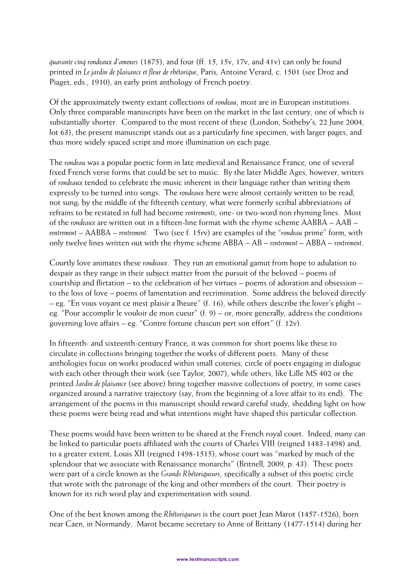*quarante cinq rondeaux d'amours* (1875), and four (ff. 15, 15v, 17v, and 41v) can only be found printed in *Le jardin de plaisance et fleur de rhétorique*, Paris, Antoine Verard, c. 1501 (see Droz and Piaget, eds., 1910), an early print anthology of French poetry.

Of the approximately twenty extant collections of *rondeau*, most are in European institutions. Only three comparable manuscripts have been on the market in the last century, one of which is substantially shorter. Compared to the most recent of these (London, Sotheby's, 22 June 2004, lot 63), the present manuscript stands out as a particularly fine specimen, with larger pages, and thus more widely spaced script and more illumination on each page.

The *rondeau* was a popular poetic form in late medieval and Renaissance France, one of several fixed French verse forms that could be set to music. By the later Middle Ages, however, writers of *rondeaux* tended to celebrate the music inherent in their language rather than writing them expressly to be turned into songs. The *rondeaux* here were almost certainly written to be read, not sung; by the middle of the fifteenth century, what were formerly scribal abbreviations of refrains to be restated in full had become *rentrements*, one- or two-word non rhyming lines. Most of the *rondeaux* are written out in a fifteen-line format with the rhyme scheme AABBA – AAB – *rentrement* – AABBA – *rentrement.* Two (see f. 15rv) are examples of the "*rondeau* prime" form, with only twelve lines written out with the rhyme scheme ABBA – AB – *rentrement* – ABBA – *rentrement*.

Courtly love animates these *rondeaux*. They run an emotional gamut from hope to adulation to despair as they range in their subject matter from the pursuit of the beloved – poems of courtship and flirtation – to the celebration of her virtues – poems of adoration and obsession – to the loss of love – poems of lamentation and recrimination. Some address the beloved directly – eg. "En vous voyant ce mest plaisir a lheure" (f. 16), while others describe the lover's plight – eg. "Pour accomplir le vouloir de mon cueur"  $(f, 9) - or$ , more generally, address the conditions governing love affairs – eg. "Contre fortune chascun pert son effort" (f. 12v).

In fifteenth- and sixteenth-century France, it was common for short poems like these to circulate in collections bringing together the works of different poets. Many of these anthologies focus on works produced within small coteries, circle of poets engaging in dialogue with each other through their work (see Taylor, 2007), while others, like Lille MS 402 or the printed *Jardin de plaisance* (see above) bring together massive collections of poetry, in some cases organized around a narrative trajectory (say, from the beginning of a love affair to its end). The arrangement of the poems in this manuscript should reward careful study, shedding light on how these poems were being read and what intentions might have shaped this particular collection.

These poems would have been written to be shared at the French royal court. Indeed, many can be linked to particular poets affiliated with the courts of Charles VIII (reigned 1483-1498) and, to a greater extent, Louis XII (reigned 1498-1515), whose court was "marked by much of the splendour that we associate with Renaissance monarchs" (Britnell, 2009, p. 43). These poets were part of a circle known as the *Grands Rhétoriqueurs*, specifically a subset of this poetic circle that wrote with the patronage of the king and other members of the court. Their poetry is known for its rich word play and experimentation with sound.

One of the best known among the *Rhétoriqueurs* is the court poet Jean Marot (1457-1526), born near Caen, in Normandy. Marot became secretary to Anne of Brittany (1477-1514) during her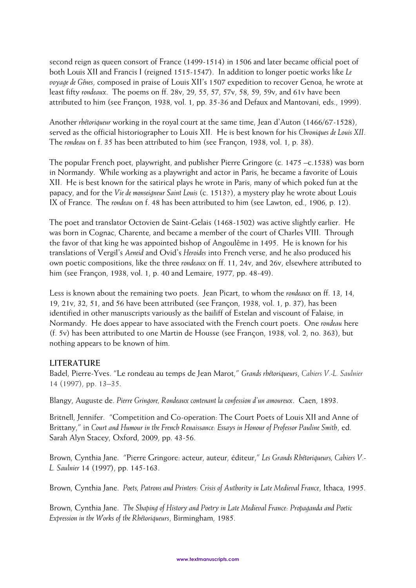second reign as queen consort of France (1499-1514) in 1506 and later became official poet of both Louis XII and Francis I (reigned 1515-1547). In addition to longer poetic works like *Le voyage de Gênes*, composed in praise of Louis XII's 1507 expedition to recover Genoa, he wrote at least fifty *rondeaux*. The poems on ff. 28v, 29, 55, 57, 57v, 58, 59, 59v, and 61v have been attributed to him (see Françon, 1938, vol. 1, pp. 35-36 and Defaux and Mantovani, eds., 1999).

Another *rhétoriqueur* working in the royal court at the same time, Jean d'Auton (1466/67-1528), served as the official historiographer to Louis XII. He is best known for his *Chroniques de Louis XII*. The *rondeau* on f. 35 has been attributed to him (see Françon, 1938, vol. 1, p. 38).

The popular French poet, playwright, and publisher Pierre Gringore (c. 1475 –c.1538) was born in Normandy. While working as a playwright and actor in Paris, he became a favorite of Louis XII. He is best known for the satirical plays he wrote in Paris, many of which poked fun at the papacy, and for the *Vie de monseigneur Saint Louis* (c. 1513?), a mystery play he wrote about Louis IX of France. The *rondeau* on f. 48 has been attributed to him (see Lawton, ed., 1906, p. 12).

The poet and translator Octovien de Saint-Gelais (1468-1502) was active slightly earlier. He was born in Cognac, Charente, and became a member of the court of Charles VIII. Through the favor of that king he was appointed bishop of Angoulême in 1495. He is known for his translations of Vergil's *Aeneid* and Ovid's *Heroides* into French verse, and he also produced his own poetic compositions, like the three *rondeaux* on ff. 11, 24v, and 26v, elsewhere attributed to him (see Françon, 1938, vol. 1, p. 40 and Lemaire, 1977, pp. 48-49).

Less is known about the remaining two poets. Jean Picart, to whom the *rondeaux* on ff. 13, 14, 19, 21v, 32, 51, and 56 have been attributed (see Françon, 1938, vol. 1, p. 37), has been identified in other manuscripts variously as the bailiff of Estelan and viscount of Falaise, in Normandy. He does appear to have associated with the French court poets. One *rondeau* here (f. 5v) has been attributed to one Martin de Housse (see Françon, 1938, vol. 2, no. 363), but nothing appears to be known of him.

### **LITERATURE**

Badel, Pierre-Yves. "Le rondeau au temps de Jean Marot," *Grands rhétoriqueurs*, *Cahiers V.-L. Saulnier* 14 (1997), pp. 13–35.

Blangy, Auguste de. *Pierre Gringore, Rondeaux contenant la confession d'un amoureux*. Caen, 1893.

Britnell, Jennifer. "Competition and Co-operation: The Court Poets of Louis XII and Anne of Brittany," in *Court and Humour in the French Renaissance: Essays in Honour of Professor Pauline Smith*, ed. Sarah Alyn Stacey, Oxford, 2009, pp. 43-56.

Brown, Cynthia Jane. "Pierre Gringore: acteur, auteur, éditeur," *Les Grands Rhétoriqueurs, Cahiers V.- L. Saulnier* 14 (1997), pp. 145-163.

Brown, Cynthia Jane. *Poets, Patrons and Printers: Crisis of Authority in Late Medieval France*, Ithaca, 1995.

Brown, Cynthia Jane. *The Shaping of History and Poetry in Late Medieval France: Propaganda and Poetic Expression in the Works of the Rhétoriqueurs*, Birmingham, 1985.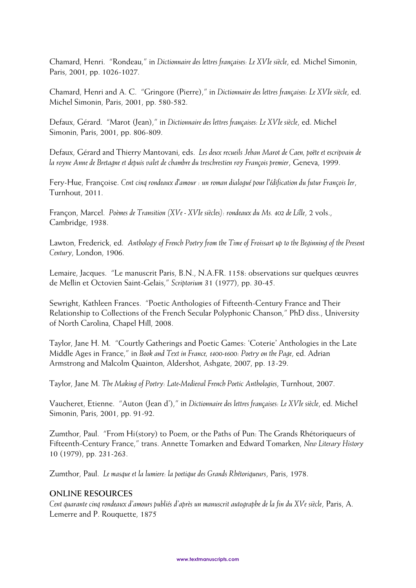Chamard, Henri. "Rondeau," in *Dictionnaire des lettres françaises: Le XVIe siècle*, ed. Michel Simonin, Paris, 2001, pp. 1026-1027.

Chamard, Henri and A. C. "Gringore (Pierre)," in *Dictionnaire des lettres françaises: Le XVIe siècle*, ed. Michel Simonin, Paris, 2001, pp. 580-582.

Defaux, Gérard. "Marot (Jean)," in *Dictionnaire des lettres françaises: Le XVIe siècle*, ed. Michel Simonin, Paris, 2001, pp. 806-809.

Defaux, Gérard and Thierry Mantovani, eds. *Les deux recueils Jehan Marot de Caen, poëte et escripvain de la royne Anne de Bretagne et depuis valet de chambre du treschrestien roy François premier*, Geneva, 1999.

Fery-Hue, Françoise. *Cent cinq rondeaux d'amour : un roman dialogué pour l'édification du futur François Ier*, Turnhout, 2011.

Françon, Marcel. *Poèmes de Transition (XVe - XVIe siècles): rondeaux du Ms. 402 de Lille*, 2 vols., Cambridge, 1938.

Lawton, Frederick, ed. *Anthology of French Poetry from the Time of Froissart up to the Beginning of the Present Century*, London, 1906.

Lemaire, Jacques. "Le manuscrit Paris, B.N., N.A.FR. 1158: observations sur quelques œuvres de Mellin et Octovien Saint-Gelais," *Scriptorium* 31 (1977), pp. 30-45.

Sewright, Kathleen Frances. "Poetic Anthologies of Fifteenth-Century France and Their Relationship to Collections of the French Secular Polyphonic Chanson," PhD diss., University of North Carolina, Chapel Hill, 2008.

Taylor, Jane H. M. "Courtly Gatherings and Poetic Games: 'Coterie' Anthologies in the Late Middle Ages in France," in *Book and Text in France, 1400-1600: Poetry on the Page*, ed. Adrian Armstrong and Malcolm Quainton, Aldershot, Ashgate, 2007, pp. 13-29.

Taylor, Jane M. *The Making of Poetry: Late-Medieval French Poetic Anthologies*, Turnhout, 2007.

Vaucheret, Etienne. "Auton (Jean d')," in *Dictionnaire des lettres françaises: Le XVIe siècle*, ed. Michel Simonin, Paris, 2001, pp. 91-92.

Zumthor, Paul. "From Hi(story) to Poem, or the Paths of Pun: The Grands Rhétoriqueurs of Fifteenth-Century France," trans. Annette Tomarken and Edward Tomarken, *New Literary History*  10 (1979), pp. 231-263.

Zumthor, Paul. *Le masque et la lumiere: la poetique des Grands Rhétoriqueurs*, Paris, 1978.

#### **ONLINE RESOURCES**

*Cent quarante cinq rondeaux d'amours publiés d'après un manuscrit autographe de la fin du XVe siècle*, Paris, A. Lemerre and P. Rouquette, 1875